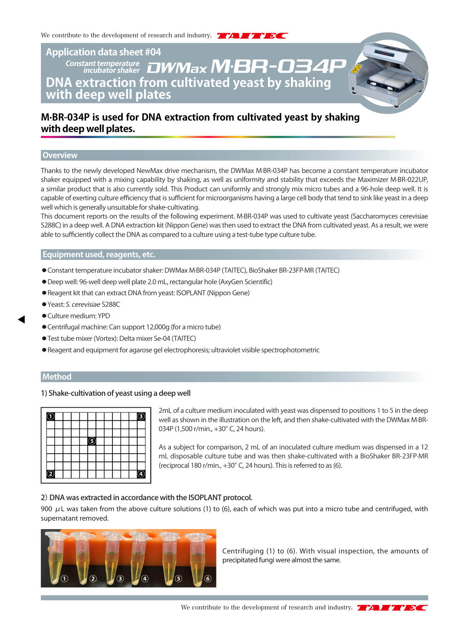# **Application data sheet #04 DNA extraction from cultivated yeast by shaking with deep well plates** Constant temperature **DWMax M·BR-034P**

## **M·BR-034P is used for DNA extraction from cultivated yeast by shaking with deep well plates.**

#### **Overview**

Thanks to the newly developed NewMax drive mechanism, the DWMax M·BR-034P has become a constant temperature incubator shaker equipped with a mixing capability by shaking, as well as uniformity and stability that exceeds the Maximizer M·BR-022UP, a similar product that is also currently sold. This Product can uniformly and strongly mix micro tubes and a 96-hole deep well. It is capable of exerting culture efficiency that is sufficient for microorganisms having a large cell body that tend to sink like yeast in a deep well which is generally unsuitable for shake-cultivating.

This document reports on the results of the following experiment. M·BR-034P was used to cultivate yeast (Saccharomyces cerevisiae S288C) in a deep well. A DNA extraction kit (Nippon Gene) was then used to extract the DNA from cultivated yeast. As a result, we were able to sufficiently collect the DNA as compared to a culture using a test-tube type culture tube.

### **Equipment used, reagents, etc.**

- ◦Constant temperature incubator shaker: DWMax M·BR-034P (TAITEC), BioShaker BR-23FP·MR (TAITEC)
- ◦Deep well: 96-well deep well plate 2.0 mL, rectangular hole (AxyGen Scientific)
- Reagent kit that can extract DNA from yeast: ISOPLANT (Nippon Gene)
- ◦Yeast: S. cerevisiae S288C
- ◦Culture medium: YPD
- ◦Centrifugal machine: Can support 12,000g (for a micro tube)
- ◦Test tube mixer (Vortex): Delta mixer Se-04 (TAITEC)
- ◦Reagent and equipment for agarose gel electrophoresis; ultraviolet visible spectrophotometric

#### **Method**

#### 1) Shake-cultivation of yeast using a deep well

| L |  |  |   |  |  | з |
|---|--|--|---|--|--|---|
|   |  |  |   |  |  |   |
|   |  |  | Е |  |  |   |
|   |  |  |   |  |  |   |
|   |  |  |   |  |  |   |
|   |  |  |   |  |  | 4 |

2mL of a culture medium inoculated with yeast was dispensed to positions 1 to 5 in the deep well as shown in the illustration on the left, and then shake-cultivated with the DWMax M·BR-034P (1,500 r/min., +30° C, 24 hours).

As a subject for comparison, 2 mL of an inoculated culture medium was dispensed in a 12 mL disposable culture tube and was then shake-cultivated with a BioShaker BR-23FP·MR (reciprocal 180 r/min., +30°C, 24 hours). This is referred to as (6).

#### 2) DNA was extracted in accordance with the ISOPLANT protocol.

900  $\mu$ L was taken from the above culture solutions (1) to (6), each of which was put into a micro tube and centrifuged, with supernatant removed.



Centrifuging (1) to (6). With visual inspection, the amounts of precipitated fungi were almost the same.